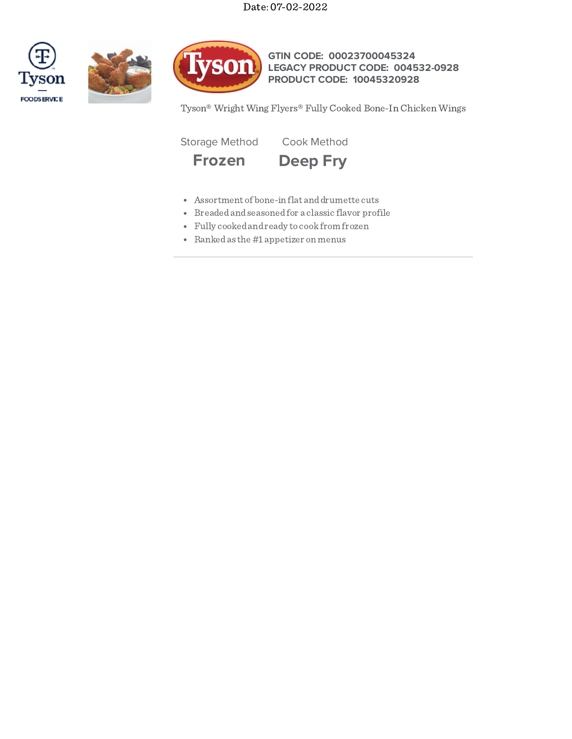Date: 07-02-2022







**GTIN CODE: 00023700045324 LEGACY PRODUCT CODE: 004532-0928 PRODUCT CODE: 10045320928**

Tyson® Wright Wing Flyers® Fully Cooked Bone-In Chicken Wings

Storage Method Cook Method



- Assortment of bone-in flat anddrumette cuts
- Breadedandseasonedfor a classic flavor profile
- Fully cookedandready to cookfrom frozen
- Rankedas the #1 appetizer on menus